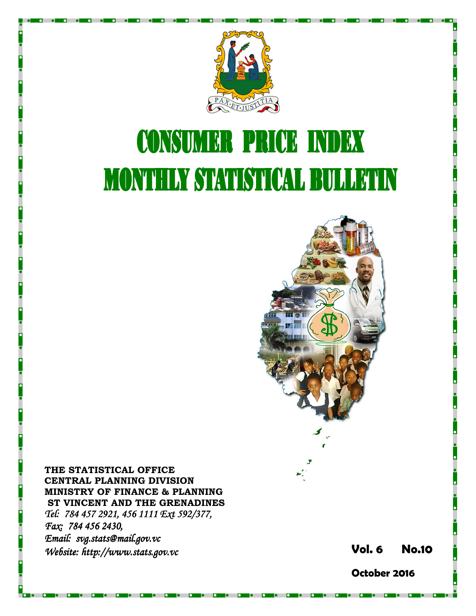

# **CONSUMER PRICE INDEX MONTHLY STATISTICAL BULLETIN**



THE STATISTICAL OFFICE CENTRAL PLANNING DIVISION MINISTRY OF FINANCE & PLANNING ST VINCENT AND THE GRENADINES Tel: 784 457 2921, 456 1111 Ext 592/377, Fax: 784 456 2430, Email: svg.stats@mail.gov.vc Website: http://www.stats.gov.vc  $\blacksquare$ 

October 2016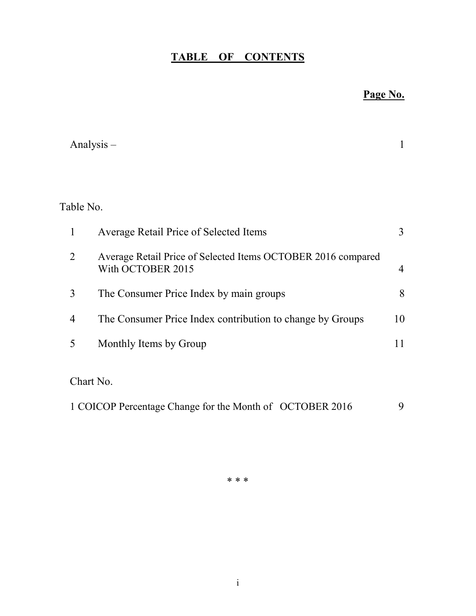# TABLE OF CONTENTS

# Page No.

|                | Analysis $-$                                                                      | 1  |
|----------------|-----------------------------------------------------------------------------------|----|
|                |                                                                                   |    |
| Table No.      |                                                                                   |    |
| $\mathbf{1}$   | Average Retail Price of Selected Items                                            | 3  |
| $\overline{2}$ | Average Retail Price of Selected Items OCTOBER 2016 compared<br>With OCTOBER 2015 | 4  |
| 3              | The Consumer Price Index by main groups                                           | 8  |
| 4              | The Consumer Price Index contribution to change by Groups                         | 10 |
| 5              | Monthly Items by Group                                                            | 11 |
| Chart No.      |                                                                                   |    |
|                | 1 COICOP Percentage Change for the Month of OCTOBER 2016                          | 9  |

\* \* \*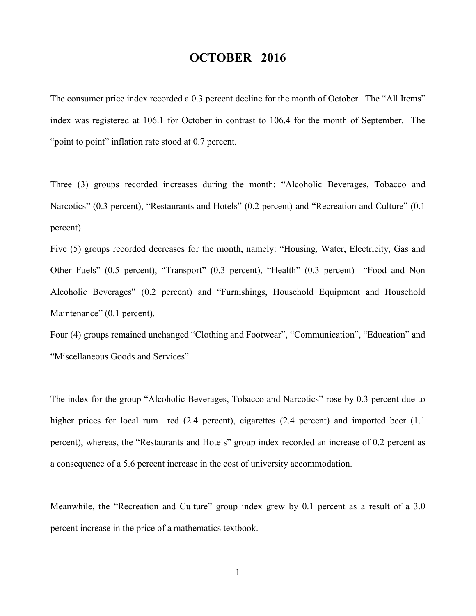## OCTOBER 2016

The consumer price index recorded a 0.3 percent decline for the month of October. The "All Items" index was registered at 106.1 for October in contrast to 106.4 for the month of September. The "point to point" inflation rate stood at 0.7 percent.

Three (3) groups recorded increases during the month: "Alcoholic Beverages, Tobacco and Narcotics" (0.3 percent), "Restaurants and Hotels" (0.2 percent) and "Recreation and Culture" (0.1 percent).

Five (5) groups recorded decreases for the month, namely: "Housing, Water, Electricity, Gas and Other Fuels" (0.5 percent), "Transport" (0.3 percent), "Health" (0.3 percent) "Food and Non Alcoholic Beverages" (0.2 percent) and "Furnishings, Household Equipment and Household Maintenance" (0.1 percent).

Four (4) groups remained unchanged "Clothing and Footwear", "Communication", "Education" and "Miscellaneous Goods and Services"

The index for the group "Alcoholic Beverages, Tobacco and Narcotics" rose by 0.3 percent due to higher prices for local rum –red (2.4 percent), cigarettes (2.4 percent) and imported beer (1.1 percent), whereas, the "Restaurants and Hotels" group index recorded an increase of 0.2 percent as a consequence of a 5.6 percent increase in the cost of university accommodation.

Meanwhile, the "Recreation and Culture" group index grew by 0.1 percent as a result of a 3.0 percent increase in the price of a mathematics textbook.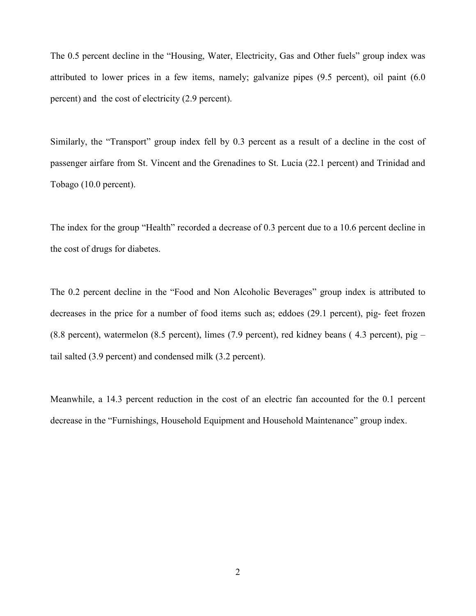The 0.5 percent decline in the "Housing, Water, Electricity, Gas and Other fuels" group index was attributed to lower prices in a few items, namely; galvanize pipes (9.5 percent), oil paint (6.0 percent) and the cost of electricity (2.9 percent).

Similarly, the "Transport" group index fell by 0.3 percent as a result of a decline in the cost of passenger airfare from St. Vincent and the Grenadines to St. Lucia (22.1 percent) and Trinidad and Tobago (10.0 percent).

The index for the group "Health" recorded a decrease of 0.3 percent due to a 10.6 percent decline in the cost of drugs for diabetes.

The 0.2 percent decline in the "Food and Non Alcoholic Beverages" group index is attributed to decreases in the price for a number of food items such as; eddoes (29.1 percent), pig- feet frozen (8.8 percent), watermelon (8.5 percent), limes (7.9 percent), red kidney beans ( 4.3 percent), pig – tail salted (3.9 percent) and condensed milk (3.2 percent).

Meanwhile, a 14.3 percent reduction in the cost of an electric fan accounted for the 0.1 percent decrease in the "Furnishings, Household Equipment and Household Maintenance" group index.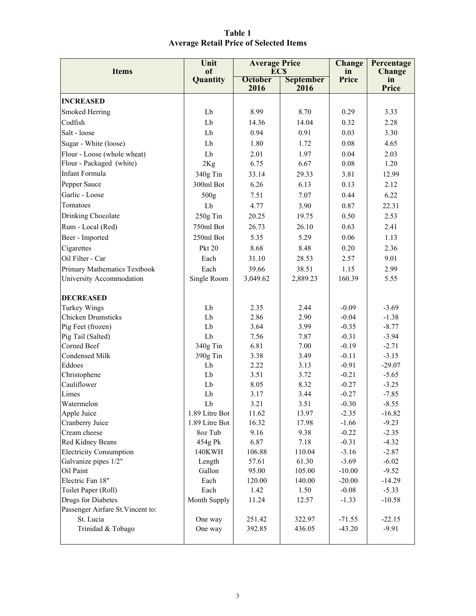| Table 1                                       |  |
|-----------------------------------------------|--|
| <b>Average Retail Price of Selected Items</b> |  |

| <b>Items</b>                      | Unit<br>of     | <b>Average Price</b><br><b>ECS</b> |                                  | Change<br>in | Percentage<br><b>Change</b> |
|-----------------------------------|----------------|------------------------------------|----------------------------------|--------------|-----------------------------|
|                                   | Quantity       | <b>October</b>                     | <b>September</b><br>2016<br>2016 |              | in<br>Price                 |
| <b>INCREASED</b>                  |                |                                    |                                  |              |                             |
| Smoked Herring                    | Lb             | 8.99                               | 8.70                             | 0.29         | 3.33                        |
| Codfish                           | Lb             | 14.36                              | 14.04                            | 0.32         | 2.28                        |
| Salt - loose                      | Lb             | 0.94                               | 0.91                             | 0.03         | 3.30                        |
|                                   | Lb             | 1.80                               | 1.72                             | 0.08         | 4.65                        |
| Sugar - White (loose)             |                |                                    |                                  |              |                             |
| Flour - Loose (whole wheat)       | Lb             | 2.01                               | 1.97                             | 0.04         | 2.03                        |
| Flour - Packaged (white)          | 2Kg            | 6.75                               | 6.67                             | 0.08         | 1.20                        |
| Infant Formula                    | 340g Tin       | 33.14                              | 29.33                            | 3.81         | 12.99                       |
| Pepper Sauce                      | 300ml Bot      | 6.26                               | 6.13                             | 0.13         | 2.12                        |
| Garlic - Loose                    | 500g           | 7.51                               | 7.07                             | 0.44         | 6.22                        |
| Tomatoes                          | Lb             | 4.77                               | 3.90                             | 0.87         | 22.31                       |
| Drinking Chocolate                | 250g Tin       | 20.25                              | 19.75                            | 0.50         | 2.53                        |
| Rum - Local (Red)                 | 750ml Bot      | 26.73                              | 26.10                            | 0.63         | 2.41                        |
| Beer - Imported                   | 250ml Bot      | 5.35                               | 5.29                             | 0.06         | 1.13                        |
| Cigarettes                        | <b>Pkt 20</b>  | 8.68                               | 8.48                             | 0.20         | 2.36                        |
| Oil Filter - Car                  | Each           | 31.10                              | 28.53                            | 2.57         | 9.01                        |
| Primary Mathematics Textbook      | Each           | 39.66                              | 38.51                            | 1.15         | 2.99                        |
| University Accommodation          | Single Room    | 3,049.62                           | 2,889.23                         | 160.39       | 5.55                        |
| <b>DECREASED</b>                  |                |                                    |                                  |              |                             |
| <b>Turkey Wings</b>               | Lb             | 2.35                               | 2.44                             | $-0.09$      | $-3.69$                     |
| <b>Chicken Drumsticks</b>         | Lb             | 2.86                               | 2.90                             | $-0.04$      | $-1.38$                     |
| Pig Feet (frozen)                 | Lb             | 3.64                               | 3.99                             | $-0.35$      | $-8.77$                     |
| Pig Tail (Salted)                 | Lb             | 7.56                               | 7.87                             | $-0.31$      | $-3.94$                     |
| Corned Beef                       | 340g Tin       | 6.81                               | 7.00                             | $-0.19$      | $-2.71$                     |
| Condensed Milk                    | 390g Tin       | 3.38                               | 3.49                             | $-0.11$      | $-3.15$                     |
| Eddoes                            | Lb             | 2.22                               | 3.13                             | $-0.91$      | $-29.07$                    |
| Christophene                      | Lb             | 3.51                               | 3.72                             | $-0.21$      | $-5.65$                     |
| Cauliflower                       | Lb             | 8.05                               | 8.32                             | $-0.27$      | $-3.25$                     |
| Limes                             | Lb             | 3.17                               | 3.44                             | $-0.27$      | $-7.85$                     |
| Watermelon                        | Lb             | 3.21                               | 3.51                             | $-0.30$      | $-8.55$                     |
| Apple Juice                       | 1.89 Litre Bot | 11.62                              | 13.97                            | $-2.35$      | $-16.82$                    |
| Cranberry Juice                   | 1.89 Litre Bot | 16.32                              | 17.98                            | $-1.66$      | $-9.23$                     |
| Cream cheese                      | 8oz Tub        | 9.16                               | 9.38                             | $-0.22$      | $-2.35$                     |
| Red Kidney Beans                  | 454g Pk        | 6.87                               | 7.18                             | $-0.31$      | $-4.32$                     |
| <b>Electricity Consumption</b>    | 140KWH         | 106.88                             | 110.04                           | $-3.16$      | $-2.87$                     |
| Galvanize pipes 1/2"              | Length         | 57.61<br>95.00                     | 61.30                            | $-3.69$      | $-6.02$                     |
| Oil Paint                         | Gallon         |                                    | 105.00                           | $-10.00$     | $-9.52$                     |
| Electric Fan 18"<br>Each          |                | 120.00                             | 140.00                           | $-20.00$     | $-14.29$                    |
| Toilet Paper (Roll)               | Each           | 1.42                               | 1.50                             | $-0.08$      | $-5.33$                     |
| Drugs for Diabetes                | Month Supply   | 11.24                              | 12.57                            | $-1.33$      | $-10.58$                    |
| Passenger Airfare St. Vincent to: |                |                                    |                                  |              |                             |
| St. Lucia                         | One way        | 251.42                             | 322.97                           | $-71.55$     | $-22.15$                    |
| Trinidad & Tobago                 | One way        | 392.85                             | 436.05                           | $-43.20$     | $-9.91$                     |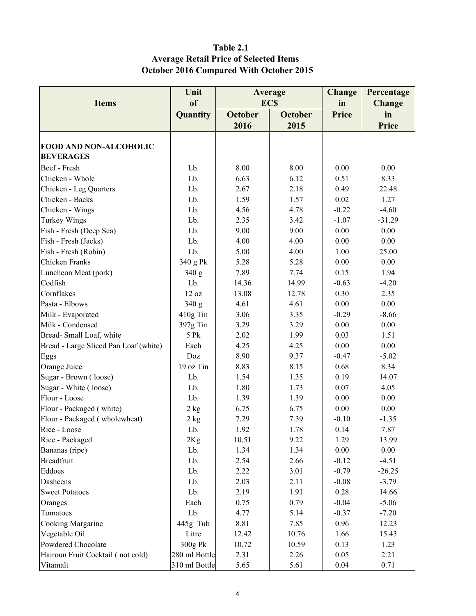### Table 2.1 Average Retail Price of Selected Items October 2016 Compared With October 2015

|                                       | Unit<br>Average             |                | Change         | Percentage    |          |
|---------------------------------------|-----------------------------|----------------|----------------|---------------|----------|
| <b>Items</b>                          | <sub>of</sub><br><b>ECS</b> |                | in             | <b>Change</b> |          |
|                                       | Quantity                    | <b>October</b> | <b>October</b> | Price         | in       |
|                                       |                             | 2016           | 2015           |               | Price    |
|                                       |                             |                |                |               |          |
| <b>FOOD AND NON-ALCOHOLIC</b>         |                             |                |                |               |          |
| <b>BEVERAGES</b>                      |                             |                |                |               |          |
| Beef - Fresh                          | Lb.                         | 8.00           | 8.00           | 0.00          | 0.00     |
| Chicken - Whole                       | Lb.                         | 6.63           | 6.12           | 0.51          | 8.33     |
| Chicken - Leg Quarters                | Lb.                         | 2.67           | 2.18           | 0.49          | 22.48    |
| Chicken - Backs                       | Lb.                         | 1.59           | 1.57           | 0.02          | 1.27     |
| Chicken - Wings                       | Lb.                         | 4.56           | 4.78           | $-0.22$       | $-4.60$  |
| <b>Turkey Wings</b>                   | Lb.                         | 2.35           | 3.42           | $-1.07$       | $-31.29$ |
| Fish - Fresh (Deep Sea)               | Lb.                         | 9.00           | 9.00           | 0.00          | 0.00     |
| Fish - Fresh (Jacks)                  | Lb.                         | 4.00           | 4.00           | 0.00          | 0.00     |
| Fish - Fresh (Robin)                  | Lb.                         | 5.00           | 4.00           | 1.00          | 25.00    |
| Chicken Franks                        | 340 g Pk                    | 5.28           | 5.28           | 0.00          | 0.00     |
| Luncheon Meat (pork)                  | 340 g                       | 7.89           | 7.74           | 0.15          | 1.94     |
| Codfish                               | Lb.                         | 14.36          | 14.99          | $-0.63$       | $-4.20$  |
| Cornflakes                            | 12 oz                       | 13.08          | 12.78          | 0.30          | 2.35     |
| Pasta - Elbows                        | 340 g                       | 4.61           | 4.61           | 0.00          | 0.00     |
| Milk - Evaporated                     | 410g Tin                    | 3.06           | 3.35           | $-0.29$       | $-8.66$  |
| Milk - Condensed                      | 397g Tin                    | 3.29           | 3.29           | 0.00          | 0.00     |
| Bread-Small Loaf, white               | 5 Pk                        | 2.02           | 1.99           | 0.03          | 1.51     |
| Bread - Large Sliced Pan Loaf (white) | Each                        | 4.25           | 4.25           | 0.00          | 0.00     |
| Eggs                                  | Doz                         | 8.90           | 9.37           | $-0.47$       | $-5.02$  |
| Orange Juice                          | 19 oz Tin                   | 8.83           | 8.15           | 0.68          | 8.34     |
| Sugar - Brown (loose)                 | Lb.                         | 1.54           | 1.35           | 0.19          | 14.07    |
| Sugar - White (loose)                 | Lb.                         | 1.80           | 1.73           | 0.07          | 4.05     |
| Flour - Loose                         | Lb.                         | 1.39           | 1.39           | 0.00          | 0.00     |
| Flour - Packaged (white)              | 2 kg                        | 6.75           | 6.75           | 0.00          | 0.00     |
| Flour - Packaged (wholewheat)         | 2 kg                        | 7.29           | 7.39           | $-0.10$       | $-1.35$  |
| Rice - Loose                          | Lb.                         | 1.92           | 1.78           | 0.14          | 7.87     |
| Rice - Packaged                       | 2Kg                         | 10.51          | 9.22           | 1.29          | 13.99    |
| Bananas (ripe)                        | Lb.                         | 1.34           | 1.34           | 0.00          | 0.00     |
| <b>Breadfruit</b>                     | Lb.                         | 2.54           | 2.66           | $-0.12$       | $-4.51$  |
| Eddoes                                | Lb.                         | 2.22           | 3.01           | $-0.79$       | $-26.25$ |
| Dasheens                              | Lb.                         | 2.03           | 2.11           | $-0.08$       | $-3.79$  |
| <b>Sweet Potatoes</b>                 | Lb.                         | 2.19           | 1.91           | 0.28          | 14.66    |
| Oranges                               | Each                        | 0.75           | 0.79           | $-0.04$       | $-5.06$  |
| Tomatoes                              | Lb.                         | 4.77           | 5.14           | $-0.37$       | $-7.20$  |
| Cooking Margarine                     | 445g Tub                    | 8.81           | 7.85           | 0.96          | 12.23    |
| Vegetable Oil                         | Litre                       | 12.42          | 10.76          | 1.66          | 15.43    |
| Powdered Chocolate                    | 300g Pk                     | 10.72          | 10.59          | 0.13          | 1.23     |
| Hairoun Fruit Cocktail (not cold)     | 280 ml Bottle               | 2.31           | 2.26           | 0.05          | 2.21     |
| Vitamalt                              | 310 ml Bottle               | 5.65           | 5.61           | 0.04          | 0.71     |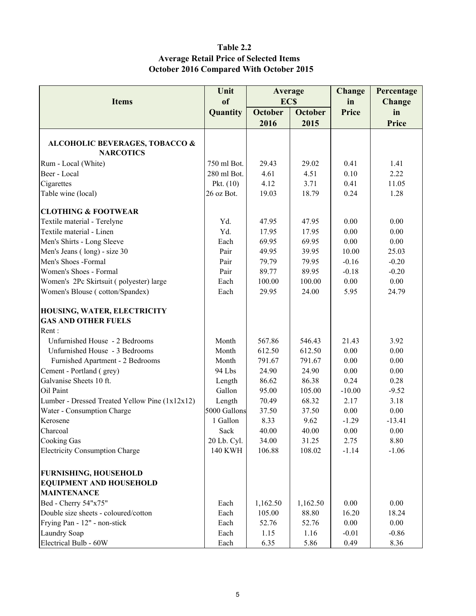#### Table 2.2 Average Retail Price of Selected Items October 2016 Compared With October 2015

|                                                | Unit           | Average        |                | <b>Change</b> | Percentage |
|------------------------------------------------|----------------|----------------|----------------|---------------|------------|
| <b>Items</b>                                   | of             | <b>ECS</b>     |                | in            | Change     |
|                                                | Quantity       | <b>October</b> | <b>October</b> | <b>Price</b>  | in         |
|                                                |                | 2016           | 2015           |               | Price      |
|                                                |                |                |                |               |            |
| <b>ALCOHOLIC BEVERAGES, TOBACCO &amp;</b>      |                |                |                |               |            |
| <b>NARCOTICS</b>                               |                |                |                |               |            |
| Rum - Local (White)                            | 750 ml Bot.    | 29.43          | 29.02          | 0.41          | 1.41       |
| Beer - Local                                   | 280 ml Bot.    | 4.61           | 4.51           | 0.10          | 2.22       |
| Cigarettes                                     | Pkt. $(10)$    | 4.12           | 3.71           | 0.41          | 11.05      |
| Table wine (local)                             | 26 oz Bot.     | 19.03          | 18.79          | 0.24          | 1.28       |
| <b>CLOTHING &amp; FOOTWEAR</b>                 |                |                |                |               |            |
| Textile material - Terelyne                    | Yd.            | 47.95          | 47.95          | 0.00          | 0.00       |
| Textile material - Linen                       | Yd.            | 17.95          | 17.95          | 0.00          | 0.00       |
| Men's Shirts - Long Sleeve                     | Each           | 69.95          | 69.95          | 0.00          | 0.00       |
| Men's Jeans (long) - size 30                   | Pair           | 49.95          | 39.95          | 10.00         | 25.03      |
| Men's Shoes -Formal                            | Pair           | 79.79          | 79.95          | $-0.16$       | $-0.20$    |
| Women's Shoes - Formal                         | Pair           | 89.77          | 89.95          | $-0.18$       | $-0.20$    |
| Women's 2Pc Skirtsuit (polyester) large        | Each           | 100.00         | 100.00         | 0.00          | 0.00       |
| Women's Blouse (cotton/Spandex)                | Each           | 29.95          | 24.00          | 5.95          | 24.79      |
| HOUSING, WATER, ELECTRICITY                    |                |                |                |               |            |
| <b>GAS AND OTHER FUELS</b>                     |                |                |                |               |            |
| Rent:                                          |                |                |                |               |            |
| Unfurnished House - 2 Bedrooms                 | Month          | 567.86         | 546.43         | 21.43         | 3.92       |
| Unfurnished House - 3 Bedrooms                 | Month          | 612.50         | 612.50         | 0.00          | 0.00       |
| Furnished Apartment - 2 Bedrooms               | Month          | 791.67         | 791.67         | 0.00          | 0.00       |
| Cement - Portland (grey)                       | 94 Lbs         | 24.90          | 24.90          | 0.00          | 0.00       |
| Galvanise Sheets 10 ft.                        | Length         | 86.62          | 86.38          | 0.24          | 0.28       |
| Oil Paint                                      | Gallon         | 95.00          | 105.00         | $-10.00$      | $-9.52$    |
| Lumber - Dressed Treated Yellow Pine (1x12x12) | Length         | 70.49          | 68.32          | 2.17          | 3.18       |
|                                                | 5000 Gallons   | 37.50          | 37.50          | 0.00          | 0.00       |
| Water - Consumption Charge<br>Kerosene         | 1 Gallon       | 8.33           | 9.62           | $-1.29$       | $-13.41$   |
|                                                |                |                |                |               |            |
| Charcoal                                       | Sack           | 40.00          | 40.00          | $0.00\,$      | $0.00\,$   |
| Cooking Gas                                    | 20 Lb. Cyl.    | 34.00          | 31.25          | 2.75          | 8.80       |
| <b>Electricity Consumption Charge</b>          | <b>140 KWH</b> | 106.88         | 108.02         | $-1.14$       | $-1.06$    |
| <b>FURNISHING, HOUSEHOLD</b>                   |                |                |                |               |            |
| <b>EQUIPMENT AND HOUSEHOLD</b>                 |                |                |                |               |            |
| <b>MAINTENANCE</b>                             |                |                |                |               |            |
| Bed - Cherry 54"x75"                           | Each           | 1,162.50       | 1,162.50       | 0.00          | 0.00       |
| Double size sheets - coloured/cotton           | Each           | 105.00         | 88.80          | 16.20         | 18.24      |
| Frying Pan - 12" - non-stick                   | Each           | 52.76          | 52.76          | 0.00          | 0.00       |
| Laundry Soap                                   | Each           | 1.15           | 1.16           | $-0.01$       | $-0.86$    |
| Electrical Bulb - 60W                          | Each           | 6.35           | 5.86           | 0.49          | 8.36       |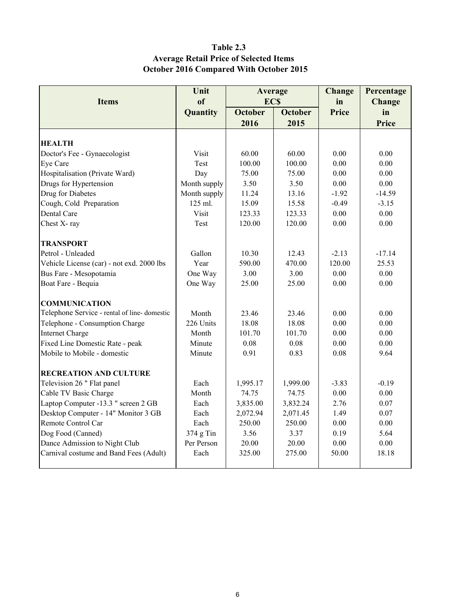### Table 2.3 Average Retail Price of Selected Items October 2016 Compared With October 2015

| Unit         |                                           |                 | Change                                            | Percentage   |
|--------------|-------------------------------------------|-----------------|---------------------------------------------------|--------------|
| of           |                                           |                 | in                                                | Change       |
|              | <b>October</b>                            | <b>October</b>  | Price                                             | in           |
|              | 2016                                      | 2015            |                                                   | Price        |
|              |                                           |                 |                                                   |              |
|              |                                           |                 |                                                   |              |
|              |                                           |                 |                                                   | 0.00         |
|              |                                           |                 |                                                   | 0.00         |
| Day          | 75.00                                     | 75.00           | 0.00                                              | 0.00         |
| Month supply | 3.50                                      | 3.50            | 0.00                                              | 0.00         |
|              | 11.24                                     |                 | $-1.92$                                           | $-14.59$     |
| 125 ml.      | 15.09                                     | 15.58           | $-0.49$                                           | $-3.15$      |
| Visit        | 123.33                                    | 123.33          | 0.00                                              | 0.00         |
| Test         | 120.00                                    | 120.00          | 0.00                                              | 0.00         |
|              |                                           |                 |                                                   |              |
| Gallon       | 10.30                                     | 12.43           | $-2.13$                                           | $-17.14$     |
| Year         | 590.00                                    | 470.00          | 120.00                                            | 25.53        |
| One Way      | 3.00                                      | 3.00            | 0.00                                              | 0.00         |
| One Way      | 25.00                                     | 25.00           | 0.00                                              | 0.00         |
|              |                                           |                 |                                                   |              |
| Month        | 23.46                                     | 23.46           | 0.00                                              | 0.00         |
| 226 Units    | 18.08                                     | 18.08           | 0.00                                              | 0.00         |
| Month        | 101.70                                    | 101.70          | 0.00                                              | 0.00         |
| Minute       | 0.08                                      | 0.08            | 0.00                                              | 0.00         |
| Minute       | 0.91                                      | 0.83            | 0.08                                              | 9.64         |
|              |                                           |                 |                                                   |              |
| Each         | 1,995.17                                  | 1,999.00        | $-3.83$                                           | $-0.19$      |
| Month        | 74.75                                     | 74.75           | 0.00                                              | 0.00         |
| Each         | 3,835.00                                  | 3,832.24        | 2.76                                              | 0.07         |
| Each         | 2,072.94                                  | 2,071.45        | 1.49                                              | 0.07         |
| Each         | 250.00                                    | 250.00          | 0.00                                              | $0.00\,$     |
| 374 g Tin    | 3.56                                      | 3.37            | 0.19                                              | 5.64         |
| Per Person   | 20.00                                     | 20.00           | 0.00                                              | $0.00\,$     |
| Each         | 325.00                                    | 275.00          | 50.00                                             | 18.18        |
|              | Quantity<br>Visit<br>Test<br>Month supply | 60.00<br>100.00 | Average<br><b>ECS</b><br>60.00<br>100.00<br>13.16 | 0.00<br>0.00 |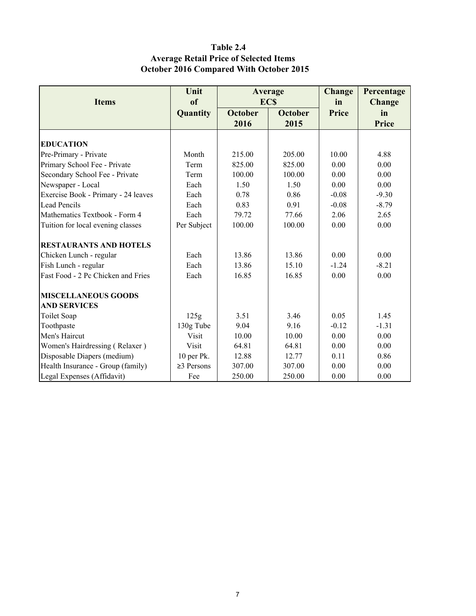### Table 2.4 Average Retail Price of Selected Items October 2016 Compared With October 2015

|                                     | Unit             |                | Average        | <b>Change</b> | Percentage    |
|-------------------------------------|------------------|----------------|----------------|---------------|---------------|
| <b>Items</b>                        | of               |                | <b>ECS</b>     | in            | <b>Change</b> |
|                                     | Quantity         | <b>October</b> | <b>October</b> | Price         | in            |
|                                     |                  | 2016           | 2015           |               | Price         |
| <b>EDUCATION</b>                    |                  |                |                |               |               |
|                                     |                  |                |                |               |               |
| Pre-Primary - Private               | Month            | 215.00         | 205.00         | 10.00         | 4.88          |
| Primary School Fee - Private        | Term             | 825.00         | 825.00         | 0.00          | 0.00          |
| Secondary School Fee - Private      | Term             | 100.00         | 100.00         | 0.00          | 0.00          |
| Newspaper - Local                   | Each             | 1.50           | 1.50           | 0.00          | 0.00          |
| Exercise Book - Primary - 24 leaves | Each             | 0.78           | 0.86           | $-0.08$       | $-9.30$       |
| <b>Lead Pencils</b>                 | Each             | 0.83           | 0.91           | $-0.08$       | $-8.79$       |
| Mathematics Textbook - Form 4       | Each             | 79.72          | 77.66          | 2.06          | 2.65          |
| Tuition for local evening classes   | Per Subject      | 100.00         | 100.00         | 0.00          | 0.00          |
| <b>RESTAURANTS AND HOTELS</b>       |                  |                |                |               |               |
| Chicken Lunch - regular             | Each             | 13.86          | 13.86          | 0.00          | 0.00          |
| Fish Lunch - regular                | Each             | 13.86          | 15.10          | $-1.24$       | $-8.21$       |
| Fast Food - 2 Pc Chicken and Fries  | Each             | 16.85          | 16.85          | 0.00          | 0.00          |
| <b>MISCELLANEOUS GOODS</b>          |                  |                |                |               |               |
| <b>AND SERVICES</b>                 |                  |                |                |               |               |
| <b>Toilet Soap</b>                  | 125g             | 3.51           | 3.46           | 0.05          | 1.45          |
| Toothpaste                          | 130g Tube        | 9.04           | 9.16           | $-0.12$       | $-1.31$       |
| Men's Haircut                       | Visit            | 10.00          | 10.00          | 0.00          | 0.00          |
| Women's Hairdressing (Relaxer)      | Visit            | 64.81          | 64.81          | 0.00          | 0.00          |
| Disposable Diapers (medium)         | 10 per Pk.       | 12.88          | 12.77          | 0.11          | 0.86          |
| Health Insurance - Group (family)   | $\geq$ 3 Persons | 307.00         | 307.00         | 0.00          | 0.00          |
| Legal Expenses (Affidavit)          | Fee              | 250.00         | 250.00         | 0.00          | 0.00          |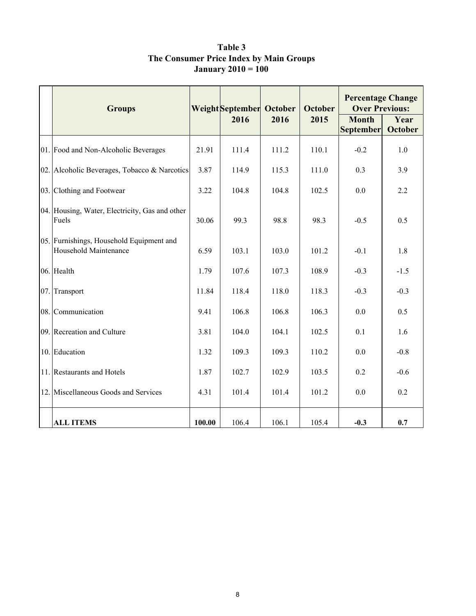|     | <b>Groups</b>                                                     |        | Weight September October<br>2016 | 2016  | <b>October</b><br>2015 | <b>Percentage Change</b><br><b>Over Previous:</b><br><b>Month</b> | Year           |
|-----|-------------------------------------------------------------------|--------|----------------------------------|-------|------------------------|-------------------------------------------------------------------|----------------|
|     |                                                                   |        |                                  |       |                        | <b>September</b>                                                  | <b>October</b> |
|     | 01. Food and Non-Alcoholic Beverages                              | 21.91  | 111.4                            | 111.2 | 110.1                  | $-0.2$                                                            | 1.0            |
|     | 02. Alcoholic Beverages, Tobacco & Narcotics                      | 3.87   | 114.9                            | 115.3 | 111.0                  | 0.3                                                               | 3.9            |
|     | 03. Clothing and Footwear                                         | 3.22   | 104.8                            | 104.8 | 102.5                  | 0.0                                                               | 2.2            |
|     | 04. Housing, Water, Electricity, Gas and other<br>Fuels           | 30.06  | 99.3                             | 98.8  | 98.3                   | $-0.5$                                                            | 0.5            |
|     | 05. Furnishings, Household Equipment and<br>Household Maintenance | 6.59   | 103.1                            | 103.0 | 101.2                  | $-0.1$                                                            | 1.8            |
|     | 06. Health                                                        | 1.79   | 107.6                            | 107.3 | 108.9                  | $-0.3$                                                            | $-1.5$         |
| 07. | Transport                                                         | 11.84  | 118.4                            | 118.0 | 118.3                  | $-0.3$                                                            | $-0.3$         |
|     | 08. Communication                                                 | 9.41   | 106.8                            | 106.8 | 106.3                  | 0.0                                                               | 0.5            |
|     | 09. Recreation and Culture                                        | 3.81   | 104.0                            | 104.1 | 102.5                  | 0.1                                                               | 1.6            |
|     | 10. Education                                                     | 1.32   | 109.3                            | 109.3 | 110.2                  | 0.0                                                               | $-0.8$         |
|     | 11. Restaurants and Hotels                                        | 1.87   | 102.7                            | 102.9 | 103.5                  | 0.2                                                               | $-0.6$         |
|     | 12. Miscellaneous Goods and Services                              | 4.31   | 101.4                            | 101.4 | 101.2                  | 0.0                                                               | 0.2            |
|     | <b>ALL ITEMS</b>                                                  | 100.00 | 106.4                            | 106.1 | 105.4                  | $-0.3$                                                            | 0.7            |

Table 3 The Consumer Price Index by Main Groups January 2010 = 100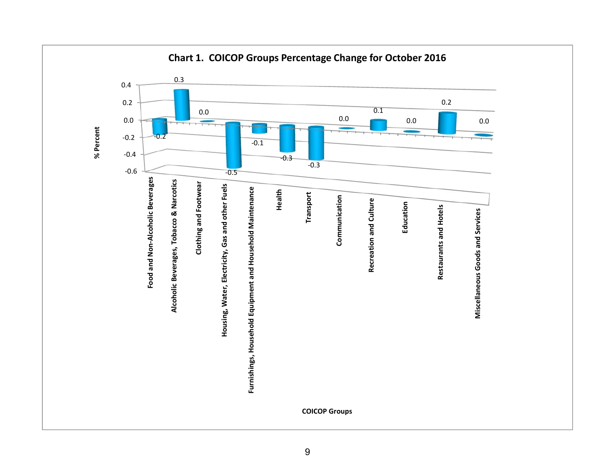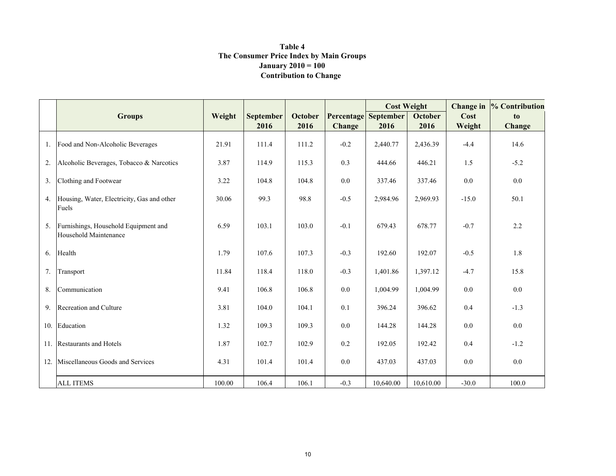#### Contribution to Change Table 4 The Consumer Price Index by Main Groups**January 2010** =  $100$

|                |                                                               |        |                  |                |               | <b>Cost Weight</b> |           | Change in | % Contribution |
|----------------|---------------------------------------------------------------|--------|------------------|----------------|---------------|--------------------|-----------|-----------|----------------|
|                | <b>Groups</b>                                                 | Weight | <b>September</b> | <b>October</b> | Percentage    | September          | October   | Cost      | to             |
|                |                                                               |        | 2016             | 2016           | <b>Change</b> | 2016               | 2016      | Weight    | Change         |
| 1.             | Food and Non-Alcoholic Beverages                              | 21.91  | 111.4            | 111.2          | $-0.2$        | 2,440.77           | 2,436.39  | $-4.4$    | 14.6           |
| 2.             | Alcoholic Beverages, Tobacco & Narcotics                      | 3.87   | 114.9            | 115.3          | 0.3           | 444.66             | 446.21    | 1.5       | $-5.2$         |
| 3 <sub>1</sub> | Clothing and Footwear                                         | 3.22   | 104.8            | 104.8          | 0.0           | 337.46             | 337.46    | 0.0       | 0.0            |
| 4.             | Housing, Water, Electricity, Gas and other<br>Fuels           | 30.06  | 99.3             | 98.8           | $-0.5$        | 2,984.96           | 2,969.93  | $-15.0$   | 50.1           |
| 5 <sub>1</sub> | Furnishings, Household Equipment and<br>Household Maintenance | 6.59   | 103.1            | 103.0          | $-0.1$        | 679.43             | 678.77    | $-0.7$    | 2.2            |
| 6.             | Health                                                        | 1.79   | 107.6            | 107.3          | $-0.3$        | 192.60             | 192.07    | $-0.5$    | 1.8            |
| 7.             | Transport                                                     | 11.84  | 118.4            | 118.0          | $-0.3$        | 1,401.86           | 1,397.12  | $-4.7$    | 15.8           |
| 8.             | Communication                                                 | 9.41   | 106.8            | 106.8          | 0.0           | 1,004.99           | 1,004.99  | 0.0       | 0.0            |
| 9.             | Recreation and Culture                                        | 3.81   | 104.0            | 104.1          | 0.1           | 396.24             | 396.62    | 0.4       | $-1.3$         |
| 10.            | Education                                                     | 1.32   | 109.3            | 109.3          | 0.0           | 144.28             | 144.28    | 0.0       | 0.0            |
|                | 11. Restaurants and Hotels                                    | 1.87   | 102.7            | 102.9          | 0.2           | 192.05             | 192.42    | 0.4       | $-1.2$         |
| 12.            | Miscellaneous Goods and Services                              | 4.31   | 101.4            | 101.4          | 0.0           | 437.03             | 437.03    | 0.0       | 0.0            |
|                | <b>ALL ITEMS</b>                                              | 100.00 | 106.4            | 106.1          | $-0.3$        | 10,640.00          | 10,610.00 | $-30.0$   | 100.0          |